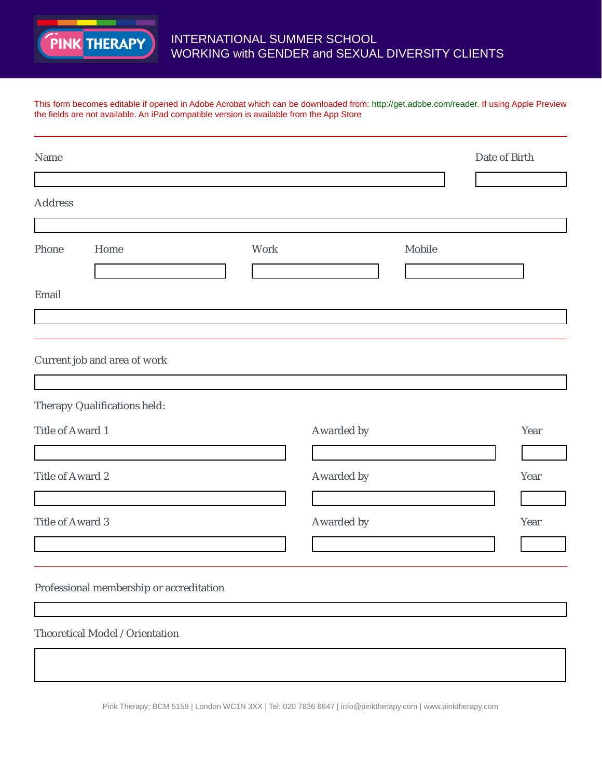

## INTERNATIONAL SUMMER SCHOOL WORKING with GENDER and SEXUAL DIVERSITY CLIENTS

This form becomes editable if opened in Adobe Acrobat which can be downloaded from: http://get.adobe.com/reader. If using Apple Preview the fields are not available. An iPad compatible version is available from the App Store

| Name                    |                                          |      |            |        | Date of Birth |      |
|-------------------------|------------------------------------------|------|------------|--------|---------------|------|
| <b>Address</b>          |                                          |      |            |        |               |      |
|                         |                                          |      |            |        |               |      |
| Phone                   | Home                                     | Work |            | Mobile |               |      |
| Email                   |                                          |      |            |        |               |      |
|                         |                                          |      |            |        |               |      |
|                         | Current job and area of work             |      |            |        |               |      |
|                         | Therapy Qualifications held:             |      |            |        |               |      |
| Title of Award 1        |                                          |      | Awarded by |        |               | Year |
| Title of Award 2        |                                          |      | Awarded by |        |               | Year |
| <b>Title of Award 3</b> |                                          |      | Awarded by |        |               | Year |
|                         |                                          |      |            |        |               |      |
|                         | Professional membership or accreditation |      |            |        |               |      |
|                         | Theoretical Model / Orientation          |      |            |        |               |      |
|                         |                                          |      |            |        |               |      |

Pink Therapy; BCM 5159 | London WC1N 3XX | Tel: 020 7836 6647 | info@pinktherapy.com | www.pinktherapy.com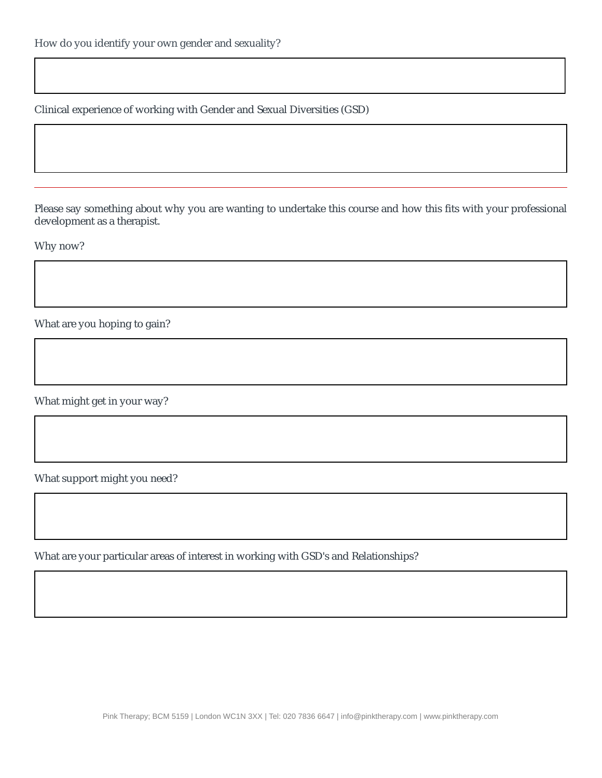Clinical experience of working with Gender and Sexual Diversities (GSD)

Please say something about why you are wanting to undertake this course and how this fits with your professional development as a therapist.

Why now?

What are you hoping to gain?

What might get in your way?

What support might you need?

What are your particular areas of interest in working with GSD's and Relationships?